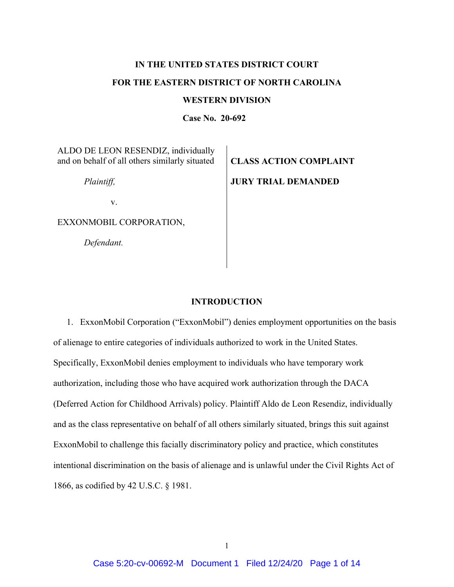# **IN THE UNITED STATES DISTRICT COURT FOR THE EASTERN DISTRICT OF NORTH CAROLINA**

## **WESTERN DIVISION**

**Case No. 20-692**

ALDO DE LEON RESENDIZ, individually and on behalf of all others similarly situated

 *Plaintiff,* 

**CLASS ACTION COMPLAINT JURY TRIAL DEMANDED** 

v.

EXXONMOBIL CORPORATION,

*Defendant.*

## **INTRODUCTION**

1. ExxonMobil Corporation ("ExxonMobil") denies employment opportunities on the basis of alienage to entire categories of individuals authorized to work in the United States. Specifically, ExxonMobil denies employment to individuals who have temporary work authorization, including those who have acquired work authorization through the DACA (Deferred Action for Childhood Arrivals) policy. Plaintiff Aldo de Leon Resendiz, individually and as the class representative on behalf of all others similarly situated, brings this suit against ExxonMobil to challenge this facially discriminatory policy and practice, which constitutes intentional discrimination on the basis of alienage and is unlawful under the Civil Rights Act of 1866, as codified by 42 U.S.C. § 1981.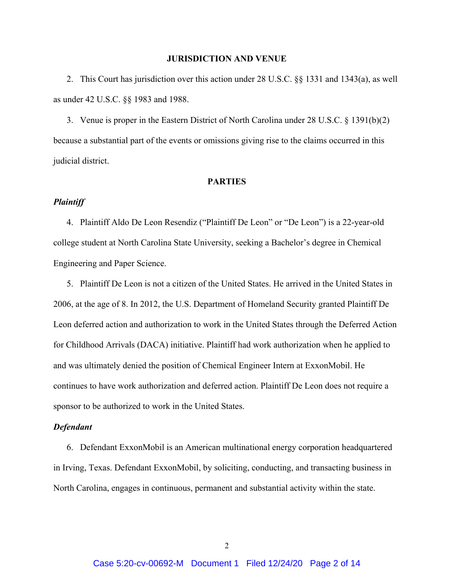#### **JURISDICTION AND VENUE**

2. This Court has jurisdiction over this action under 28 U.S.C. §§ 1331 and 1343(a), as well as under 42 U.S.C. §§ 1983 and 1988.

3. Venue is proper in the Eastern District of North Carolina under 28 U.S.C. § 1391(b)(2) because a substantial part of the events or omissions giving rise to the claims occurred in this judicial district.

#### **PARTIES**

## *Plaintiff*

4. Plaintiff Aldo De Leon Resendiz ("Plaintiff De Leon" or "De Leon") is a 22-year-old college student at North Carolina State University, seeking a Bachelor's degree in Chemical Engineering and Paper Science.

5. Plaintiff De Leon is not a citizen of the United States. He arrived in the United States in 2006, at the age of 8. In 2012, the U.S. Department of Homeland Security granted Plaintiff De Leon deferred action and authorization to work in the United States through the Deferred Action for Childhood Arrivals (DACA) initiative. Plaintiff had work authorization when he applied to and was ultimately denied the position of Chemical Engineer Intern at ExxonMobil. He continues to have work authorization and deferred action. Plaintiff De Leon does not require a sponsor to be authorized to work in the United States.

#### *Defendant*

6. Defendant ExxonMobil is an American multinational energy corporation headquartered in Irving, Texas. Defendant ExxonMobil, by soliciting, conducting, and transacting business in North Carolina, engages in continuous, permanent and substantial activity within the state.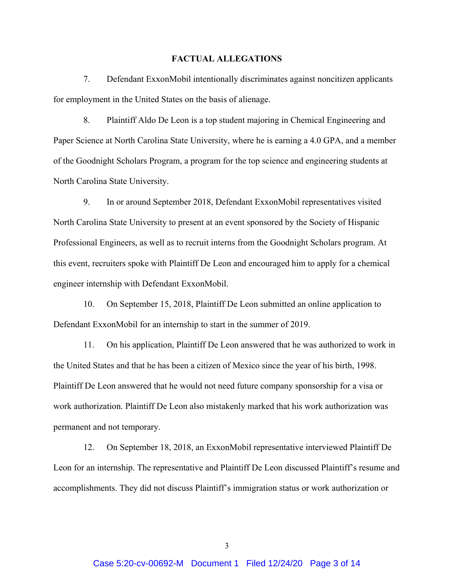#### **FACTUAL ALLEGATIONS**

7. Defendant ExxonMobil intentionally discriminates against noncitizen applicants for employment in the United States on the basis of alienage.

8. Plaintiff Aldo De Leon is a top student majoring in Chemical Engineering and Paper Science at North Carolina State University, where he is earning a 4.0 GPA, and a member of the Goodnight Scholars Program, a program for the top science and engineering students at North Carolina State University.

9. In or around September 2018, Defendant ExxonMobil representatives visited North Carolina State University to present at an event sponsored by the Society of Hispanic Professional Engineers, as well as to recruit interns from the Goodnight Scholars program. At this event, recruiters spoke with Plaintiff De Leon and encouraged him to apply for a chemical engineer internship with Defendant ExxonMobil.

10. On September 15, 2018, Plaintiff De Leon submitted an online application to Defendant ExxonMobil for an internship to start in the summer of 2019.

11. On his application, Plaintiff De Leon answered that he was authorized to work in the United States and that he has been a citizen of Mexico since the year of his birth, 1998. Plaintiff De Leon answered that he would not need future company sponsorship for a visa or work authorization. Plaintiff De Leon also mistakenly marked that his work authorization was permanent and not temporary.

12. On September 18, 2018, an ExxonMobil representative interviewed Plaintiff De Leon for an internship. The representative and Plaintiff De Leon discussed Plaintiff's resume and accomplishments. They did not discuss Plaintiff's immigration status or work authorization or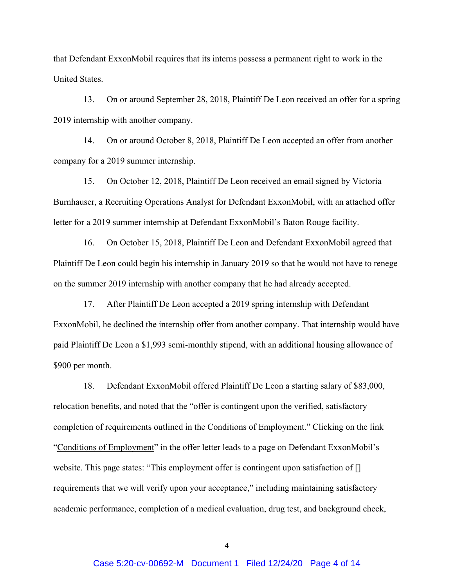that Defendant ExxonMobil requires that its interns possess a permanent right to work in the United States.

13. On or around September 28, 2018, Plaintiff De Leon received an offer for a spring 2019 internship with another company.

14. On or around October 8, 2018, Plaintiff De Leon accepted an offer from another company for a 2019 summer internship.

15. On October 12, 2018, Plaintiff De Leon received an email signed by Victoria Burnhauser, a Recruiting Operations Analyst for Defendant ExxonMobil, with an attached offer letter for a 2019 summer internship at Defendant ExxonMobil's Baton Rouge facility.

16. On October 15, 2018, Plaintiff De Leon and Defendant ExxonMobil agreed that Plaintiff De Leon could begin his internship in January 2019 so that he would not have to renege on the summer 2019 internship with another company that he had already accepted.

17. After Plaintiff De Leon accepted a 2019 spring internship with Defendant ExxonMobil, he declined the internship offer from another company. That internship would have paid Plaintiff De Leon a \$1,993 semi-monthly stipend, with an additional housing allowance of \$900 per month.

18. Defendant ExxonMobil offered Plaintiff De Leon a starting salary of \$83,000, relocation benefits, and noted that the "offer is contingent upon the verified, satisfactory completion of requirements outlined in the Conditions of Employment." Clicking on the link "Conditions of Employment" in the offer letter leads to a page on Defendant ExxonMobil's website. This page states: "This employment offer is contingent upon satisfaction of [] requirements that we will verify upon your acceptance," including maintaining satisfactory academic performance, completion of a medical evaluation, drug test, and background check,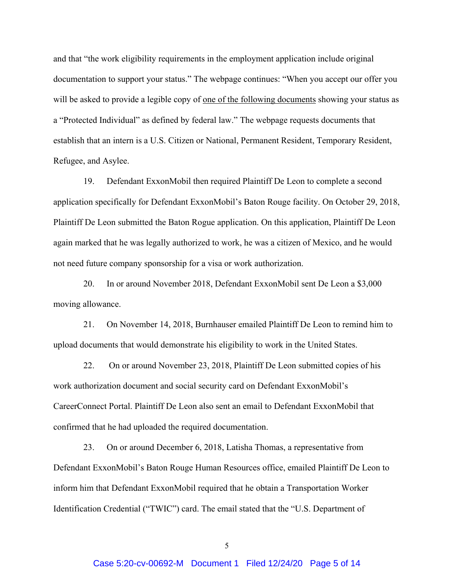and that "the work eligibility requirements in the employment application include original documentation to support your status." The webpage continues: "When you accept our offer you will be asked to provide a legible copy of one of the following documents showing your status as a "Protected Individual" as defined by federal law." The webpage requests documents that establish that an intern is a U.S. Citizen or National, Permanent Resident, Temporary Resident, Refugee, and Asylee.

19. Defendant ExxonMobil then required Plaintiff De Leon to complete a second application specifically for Defendant ExxonMobil's Baton Rouge facility. On October 29, 2018, Plaintiff De Leon submitted the Baton Rogue application. On this application, Plaintiff De Leon again marked that he was legally authorized to work, he was a citizen of Mexico, and he would not need future company sponsorship for a visa or work authorization.

20. In or around November 2018, Defendant ExxonMobil sent De Leon a \$3,000 moving allowance.

21. On November 14, 2018, Burnhauser emailed Plaintiff De Leon to remind him to upload documents that would demonstrate his eligibility to work in the United States.

22. On or around November 23, 2018, Plaintiff De Leon submitted copies of his work authorization document and social security card on Defendant ExxonMobil's CareerConnect Portal. Plaintiff De Leon also sent an email to Defendant ExxonMobil that confirmed that he had uploaded the required documentation.

23. On or around December 6, 2018, Latisha Thomas, a representative from Defendant ExxonMobil's Baton Rouge Human Resources office, emailed Plaintiff De Leon to inform him that Defendant ExxonMobil required that he obtain a Transportation Worker Identification Credential ("TWIC") card. The email stated that the "U.S. Department of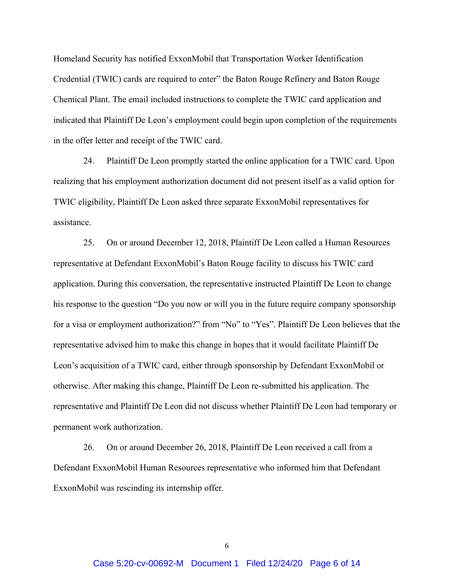Homeland Security has notified ExxonMobil that Transportation Worker Identification Credential (TWIC) cards are required to enter" the Baton Rouge Refinery and Baton Rouge Chemical Plant. The email included instructions to complete the TWIC card application and indicated that Plaintiff De Leon's employment could begin upon completion of the requirements in the offer letter and receipt of the TWIC card.

24. Plaintiff De Leon promptly started the online application for a TWIC card. Upon realizing that his employment authorization document did not present itself as a valid option for TWIC eligibility, Plaintiff De Leon asked three separate ExxonMobil representatives for assistance.

25. On or around December 12, 2018, Plaintiff De Leon called a Human Resources representative at Defendant ExxonMobil's Baton Rouge facility to discuss his TWIC card application. During this conversation, the representative instructed Plaintiff De Leon to change his response to the question "Do you now or will you in the future require company sponsorship for a visa or employment authorization?" from "No" to "Yes". Plaintiff De Leon believes that the representative advised him to make this change in hopes that it would facilitate Plaintiff De Leon's acquisition of a TWIC card, either through sponsorship by Defendant ExxonMobil or otherwise. After making this change, Plaintiff De Leon re-submitted his application. The representative and Plaintiff De Leon did not discuss whether Plaintiff De Leon had temporary or permanent work authorization.

26. On or around December 26, 2018, Plaintiff De Leon received a call from a Defendant ExxonMobil Human Resources representative who informed him that Defendant ExxonMobil was rescinding its internship offer.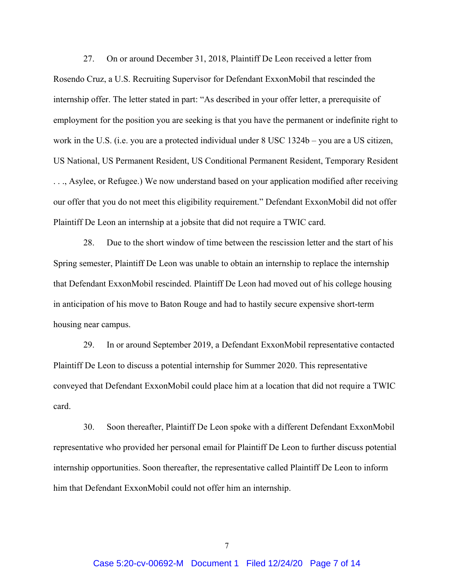27. On or around December 31, 2018, Plaintiff De Leon received a letter from Rosendo Cruz, a U.S. Recruiting Supervisor for Defendant ExxonMobil that rescinded the internship offer. The letter stated in part: "As described in your offer letter, a prerequisite of employment for the position you are seeking is that you have the permanent or indefinite right to work in the U.S. (i.e. you are a protected individual under 8 USC 1324b – you are a US citizen, US National, US Permanent Resident, US Conditional Permanent Resident, Temporary Resident . . ., Asylee, or Refugee.) We now understand based on your application modified after receiving our offer that you do not meet this eligibility requirement." Defendant ExxonMobil did not offer Plaintiff De Leon an internship at a jobsite that did not require a TWIC card.

28. Due to the short window of time between the rescission letter and the start of his Spring semester, Plaintiff De Leon was unable to obtain an internship to replace the internship that Defendant ExxonMobil rescinded. Plaintiff De Leon had moved out of his college housing in anticipation of his move to Baton Rouge and had to hastily secure expensive short-term housing near campus.

29. In or around September 2019, a Defendant ExxonMobil representative contacted Plaintiff De Leon to discuss a potential internship for Summer 2020. This representative conveyed that Defendant ExxonMobil could place him at a location that did not require a TWIC card.

30. Soon thereafter, Plaintiff De Leon spoke with a different Defendant ExxonMobil representative who provided her personal email for Plaintiff De Leon to further discuss potential internship opportunities. Soon thereafter, the representative called Plaintiff De Leon to inform him that Defendant ExxonMobil could not offer him an internship.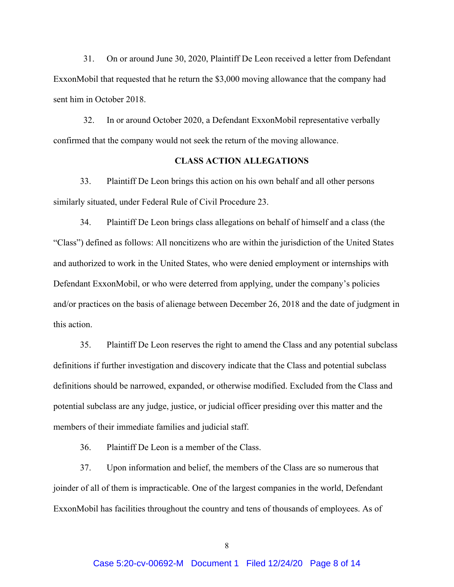31. On or around June 30, 2020, Plaintiff De Leon received a letter from Defendant ExxonMobil that requested that he return the \$3,000 moving allowance that the company had sent him in October 2018.

32. In or around October 2020, a Defendant ExxonMobil representative verbally confirmed that the company would not seek the return of the moving allowance.

## **CLASS ACTION ALLEGATIONS**

33. Plaintiff De Leon brings this action on his own behalf and all other persons similarly situated, under Federal Rule of Civil Procedure 23.

34. Plaintiff De Leon brings class allegations on behalf of himself and a class (the "Class") defined as follows: All noncitizens who are within the jurisdiction of the United States and authorized to work in the United States, who were denied employment or internships with Defendant ExxonMobil, or who were deterred from applying, under the company's policies and/or practices on the basis of alienage between December 26, 2018 and the date of judgment in this action.

35. Plaintiff De Leon reserves the right to amend the Class and any potential subclass definitions if further investigation and discovery indicate that the Class and potential subclass definitions should be narrowed, expanded, or otherwise modified. Excluded from the Class and potential subclass are any judge, justice, or judicial officer presiding over this matter and the members of their immediate families and judicial staff.

36. Plaintiff De Leon is a member of the Class.

37. Upon information and belief, the members of the Class are so numerous that joinder of all of them is impracticable. One of the largest companies in the world, Defendant ExxonMobil has facilities throughout the country and tens of thousands of employees. As of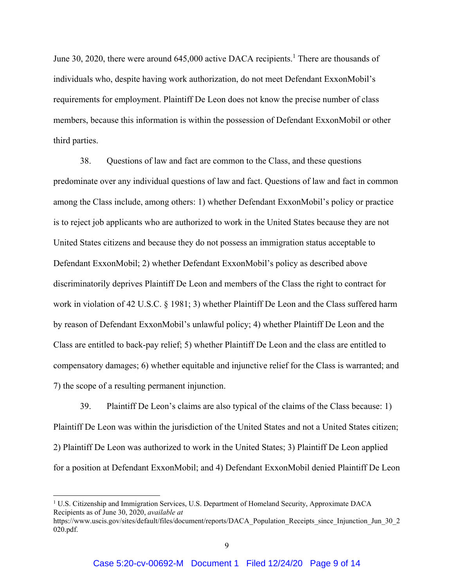June 30, 2020, there were around 645,000 active DACA recipients.<sup>1</sup> There are thousands of individuals who, despite having work authorization, do not meet Defendant ExxonMobil's requirements for employment. Plaintiff De Leon does not know the precise number of class members, because this information is within the possession of Defendant ExxonMobil or other third parties.

38. Questions of law and fact are common to the Class, and these questions predominate over any individual questions of law and fact. Questions of law and fact in common among the Class include, among others: 1) whether Defendant ExxonMobil's policy or practice is to reject job applicants who are authorized to work in the United States because they are not United States citizens and because they do not possess an immigration status acceptable to Defendant ExxonMobil; 2) whether Defendant ExxonMobil's policy as described above discriminatorily deprives Plaintiff De Leon and members of the Class the right to contract for work in violation of 42 U.S.C. § 1981; 3) whether Plaintiff De Leon and the Class suffered harm by reason of Defendant ExxonMobil's unlawful policy; 4) whether Plaintiff De Leon and the Class are entitled to back-pay relief; 5) whether Plaintiff De Leon and the class are entitled to compensatory damages; 6) whether equitable and injunctive relief for the Class is warranted; and 7) the scope of a resulting permanent injunction.

39. Plaintiff De Leon's claims are also typical of the claims of the Class because: 1) Plaintiff De Leon was within the jurisdiction of the United States and not a United States citizen; 2) Plaintiff De Leon was authorized to work in the United States; 3) Plaintiff De Leon applied for a position at Defendant ExxonMobil; and 4) Defendant ExxonMobil denied Plaintiff De Leon

<sup>&</sup>lt;sup>1</sup> U.S. Citizenship and Immigration Services, U.S. Department of Homeland Security, Approximate DACA Recipients as of June 30, 2020, *available at* 

https://www.uscis.gov/sites/default/files/document/reports/DACA\_Population\_Receipts\_since\_Injunction\_Jun\_30\_2 020.pdf.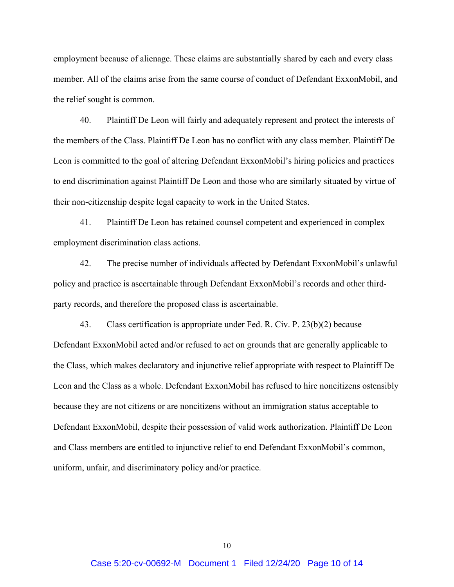employment because of alienage. These claims are substantially shared by each and every class member. All of the claims arise from the same course of conduct of Defendant ExxonMobil, and the relief sought is common.

40. Plaintiff De Leon will fairly and adequately represent and protect the interests of the members of the Class. Plaintiff De Leon has no conflict with any class member. Plaintiff De Leon is committed to the goal of altering Defendant ExxonMobil's hiring policies and practices to end discrimination against Plaintiff De Leon and those who are similarly situated by virtue of their non-citizenship despite legal capacity to work in the United States.

41. Plaintiff De Leon has retained counsel competent and experienced in complex employment discrimination class actions.

42. The precise number of individuals affected by Defendant ExxonMobil's unlawful policy and practice is ascertainable through Defendant ExxonMobil's records and other thirdparty records, and therefore the proposed class is ascertainable.

43. Class certification is appropriate under Fed. R. Civ. P. 23(b)(2) because Defendant ExxonMobil acted and/or refused to act on grounds that are generally applicable to the Class, which makes declaratory and injunctive relief appropriate with respect to Plaintiff De Leon and the Class as a whole. Defendant ExxonMobil has refused to hire noncitizens ostensibly because they are not citizens or are noncitizens without an immigration status acceptable to Defendant ExxonMobil, despite their possession of valid work authorization. Plaintiff De Leon and Class members are entitled to injunctive relief to end Defendant ExxonMobil's common, uniform, unfair, and discriminatory policy and/or practice.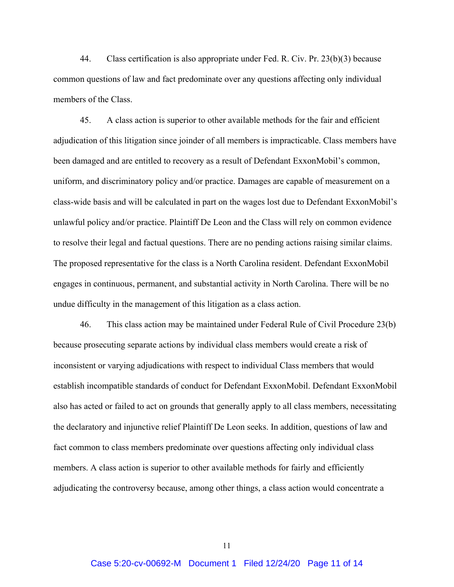44. Class certification is also appropriate under Fed. R. Civ. Pr. 23(b)(3) because common questions of law and fact predominate over any questions affecting only individual members of the Class.

45. A class action is superior to other available methods for the fair and efficient adjudication of this litigation since joinder of all members is impracticable. Class members have been damaged and are entitled to recovery as a result of Defendant ExxonMobil's common, uniform, and discriminatory policy and/or practice. Damages are capable of measurement on a class-wide basis and will be calculated in part on the wages lost due to Defendant ExxonMobil's unlawful policy and/or practice. Plaintiff De Leon and the Class will rely on common evidence to resolve their legal and factual questions. There are no pending actions raising similar claims. The proposed representative for the class is a North Carolina resident. Defendant ExxonMobil engages in continuous, permanent, and substantial activity in North Carolina. There will be no undue difficulty in the management of this litigation as a class action.

46. This class action may be maintained under Federal Rule of Civil Procedure 23(b) because prosecuting separate actions by individual class members would create a risk of inconsistent or varying adjudications with respect to individual Class members that would establish incompatible standards of conduct for Defendant ExxonMobil. Defendant ExxonMobil also has acted or failed to act on grounds that generally apply to all class members, necessitating the declaratory and injunctive relief Plaintiff De Leon seeks. In addition, questions of law and fact common to class members predominate over questions affecting only individual class members. A class action is superior to other available methods for fairly and efficiently adjudicating the controversy because, among other things, a class action would concentrate a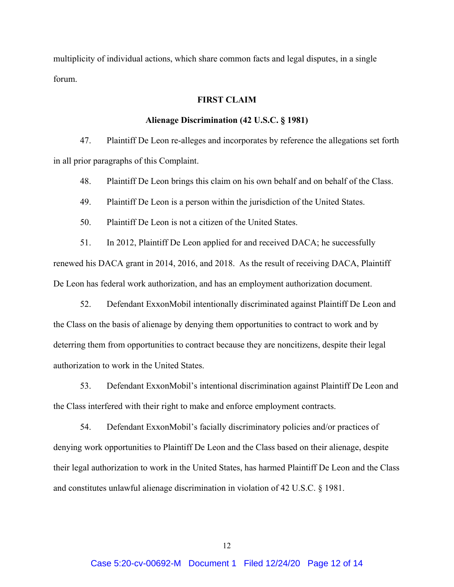multiplicity of individual actions, which share common facts and legal disputes, in a single forum.

## **FIRST CLAIM**

#### **Alienage Discrimination (42 U.S.C. § 1981)**

47. Plaintiff De Leon re-alleges and incorporates by reference the allegations set forth in all prior paragraphs of this Complaint.

48. Plaintiff De Leon brings this claim on his own behalf and on behalf of the Class.

49. Plaintiff De Leon is a person within the jurisdiction of the United States.

50. Plaintiff De Leon is not a citizen of the United States.

51. In 2012, Plaintiff De Leon applied for and received DACA; he successfully renewed his DACA grant in 2014, 2016, and 2018. As the result of receiving DACA, Plaintiff De Leon has federal work authorization, and has an employment authorization document.

52. Defendant ExxonMobil intentionally discriminated against Plaintiff De Leon and the Class on the basis of alienage by denying them opportunities to contract to work and by deterring them from opportunities to contract because they are noncitizens, despite their legal authorization to work in the United States.

53. Defendant ExxonMobil's intentional discrimination against Plaintiff De Leon and the Class interfered with their right to make and enforce employment contracts.

54. Defendant ExxonMobil's facially discriminatory policies and/or practices of denying work opportunities to Plaintiff De Leon and the Class based on their alienage, despite their legal authorization to work in the United States, has harmed Plaintiff De Leon and the Class and constitutes unlawful alienage discrimination in violation of 42 U.S.C. § 1981.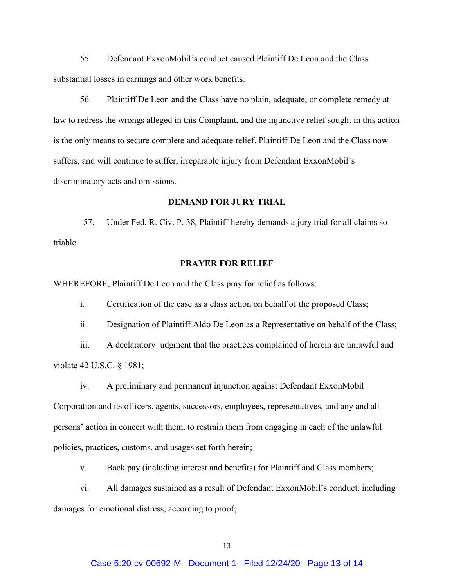55. Defendant ExxonMobil's conduct caused Plaintiff De Leon and the Class substantial losses in earnings and other work benefits.

56. Plaintiff De Leon and the Class have no plain, adequate, or complete remedy at law to redress the wrongs alleged in this Complaint, and the injunctive relief sought in this action is the only means to secure complete and adequate relief. Plaintiff De Leon and the Class now suffers, and will continue to suffer, irreparable injury from Defendant ExxonMobil's discriminatory acts and omissions.

#### **DEMAND FOR JURY TRIAL**

57. Under Fed. R. Civ. P. 38, Plaintiff hereby demands a jury trial for all claims so triable.

#### **PRAYER FOR RELIEF**

WHEREFORE, Plaintiff De Leon and the Class pray for relief as follows:

i. Certification of the case as a class action on behalf of the proposed Class;

ii. Designation of Plaintiff Aldo De Leon as a Representative on behalf of the Class;

iii. A declaratory judgment that the practices complained of herein are unlawful and violate 42 U.S.C. § 1981;

iv. A preliminary and permanent injunction against Defendant ExxonMobil Corporation and its officers, agents, successors, employees, representatives, and any and all persons' action in concert with them, to restrain them from engaging in each of the unlawful policies, practices, customs, and usages set forth herein;

v. Back pay (including interest and benefits) for Plaintiff and Class members;

vi. All damages sustained as a result of Defendant ExxonMobil's conduct, including damages for emotional distress, according to proof;